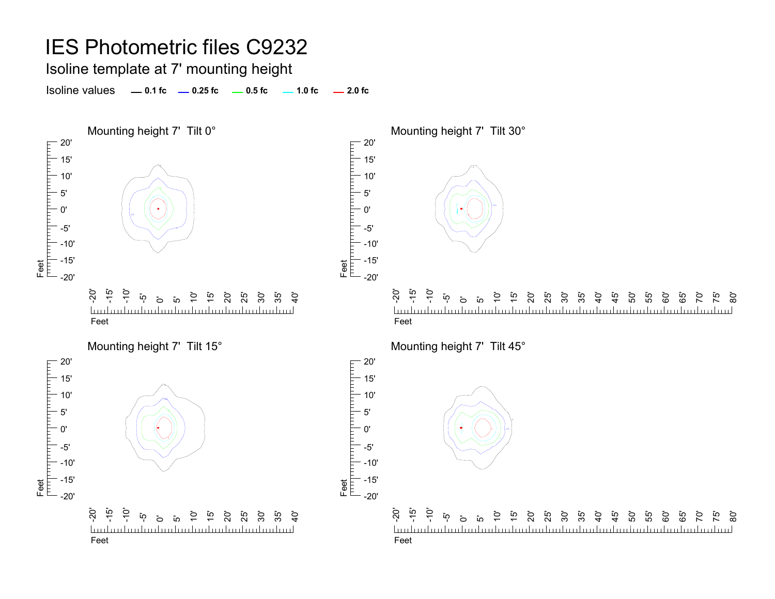Isoline template at 7' mounting height

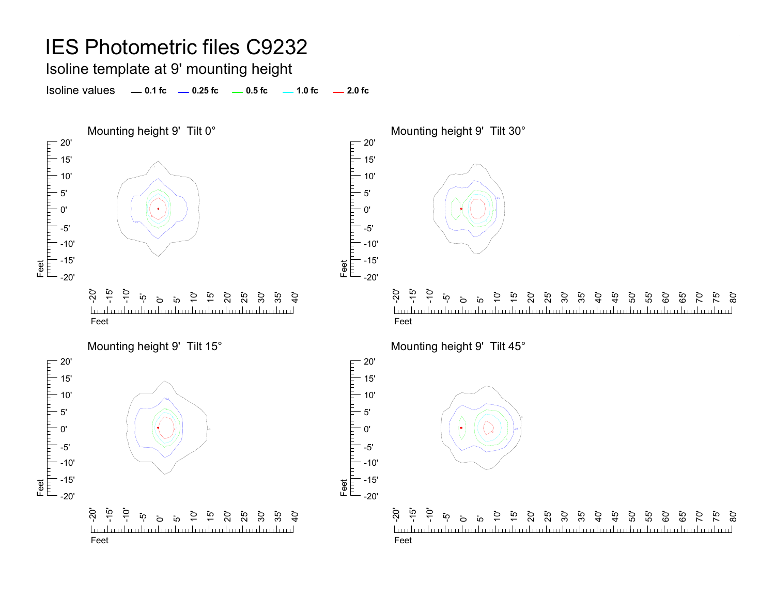#### Isoline template at 9' mounting height

**0.5 fc 2.0 fc1.0 fc** Isoline values **0.1 fc 0.25 fc**

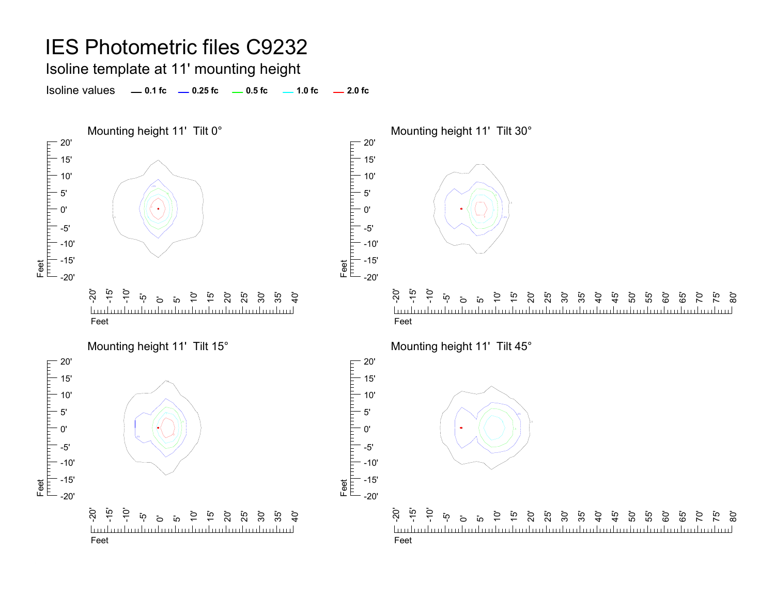Isoline template at 11' mounting height

**0.5 fc 2.0 fc1.0 fc** Isoline values **0.1 fc 0.25 fc**

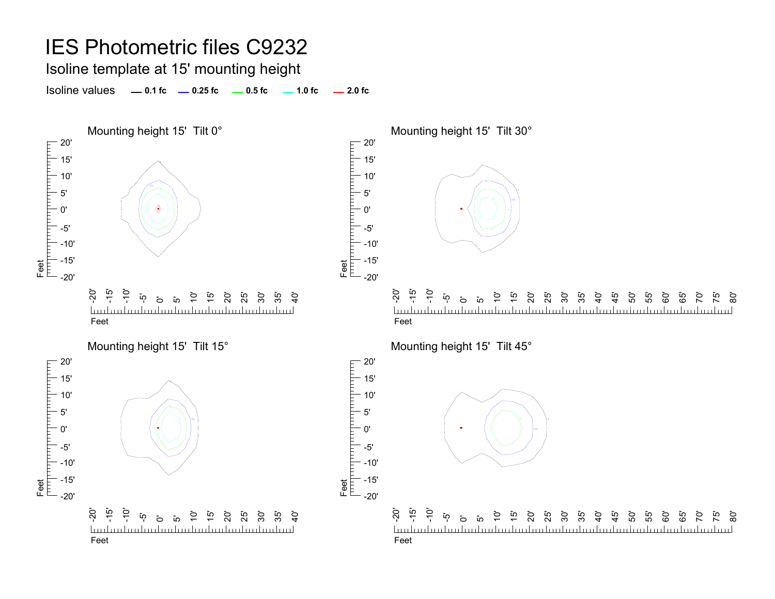Isoline template at 15' mounting height

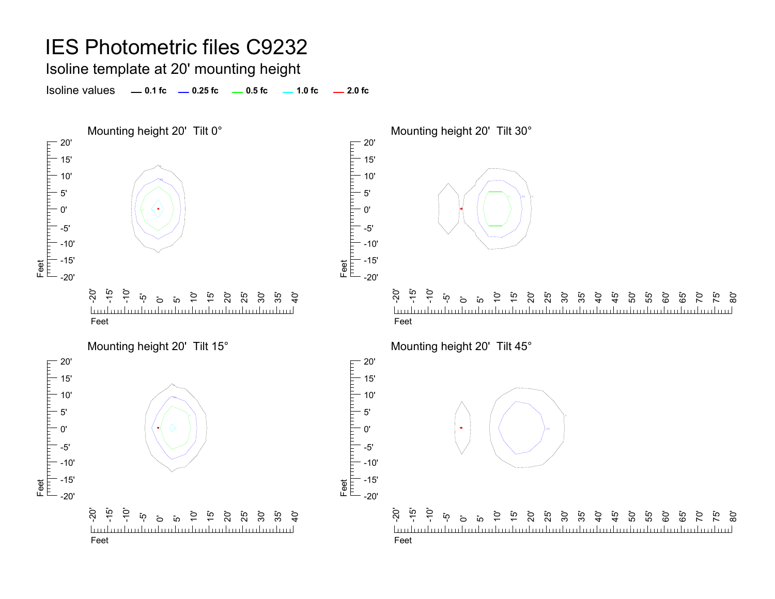Isoline template at 20' mounting height

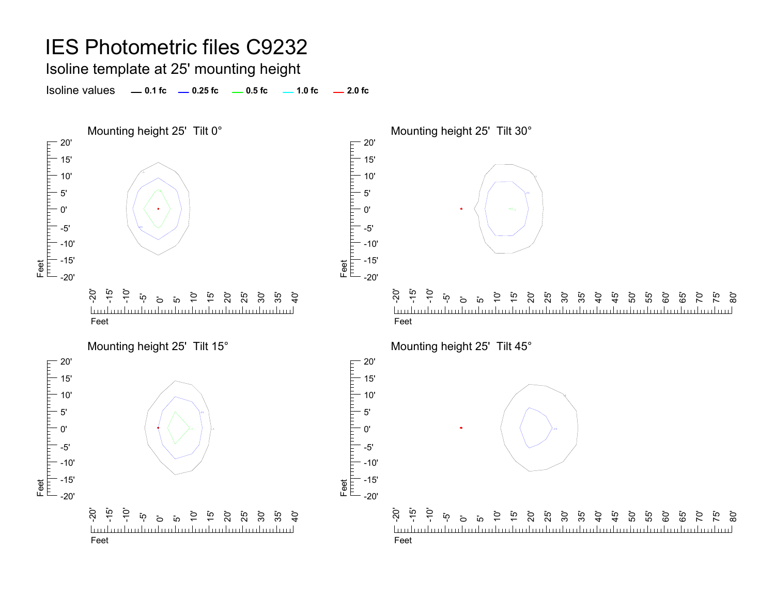Isoline template at 25' mounting height

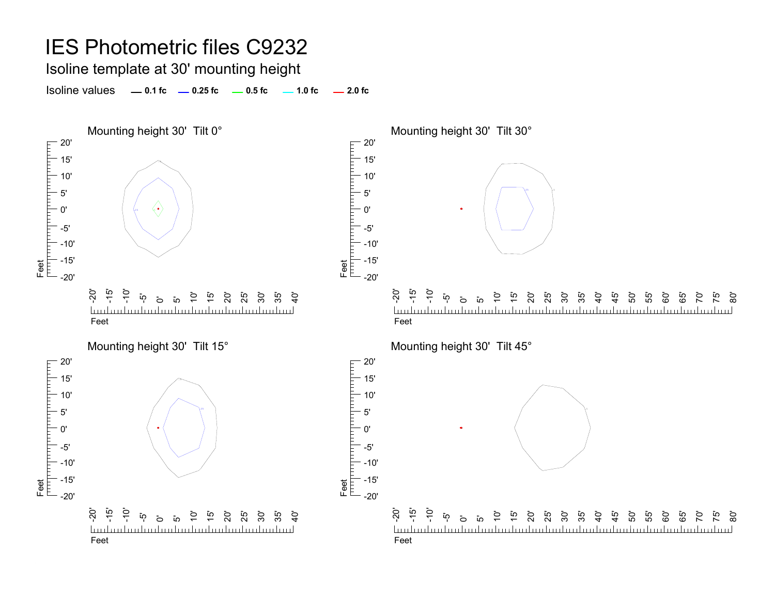Isoline template at 30' mounting height